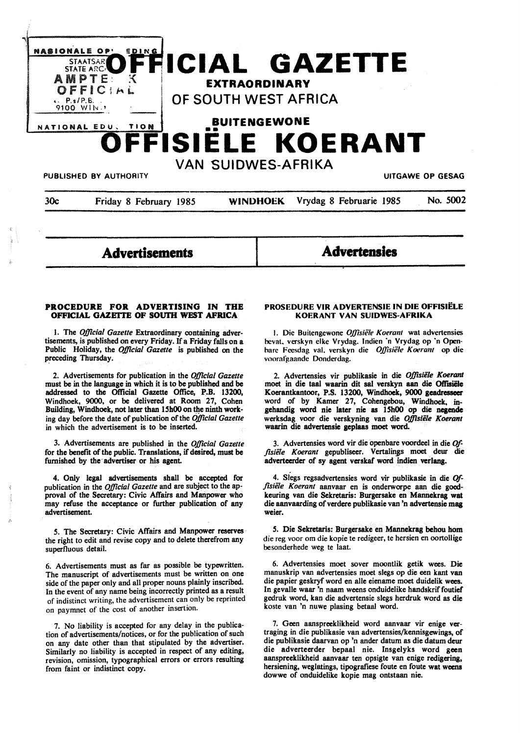

**Advertisements** 

**Advertensies** 

#### **PROCEDURE FOR ADVERTISING IN THE OFFICIAL GAZETTE OF SOUTH WEST AFRICA**

1. The *OjJicial Gazette* Extraordinary containing advertisements, is published on every Friday. If a Friday falls on a Public Holiday, the *OjJlcial Gazette* is published on the preceding Thursday.

2. Advertisements for publication in the *Official Gazette*  must be in the language in which it is to be published and be addressed to the Official Gazette Office, P.B. 13200, Windhoek, 9000, or be delivered at Room 27, Cohen Building, Windhoek, not later than 15h00 on the ninth working day before the date of publication of the *OjJicial Gazette*  in which the advertisement is to be inserted.

3. Advertisements are published in the *OjJicial Gazette*  for the benefit of the public. Translations, if desired, must be furnished by the advertiser or his agent.

4. Only legal advertisements shall be accepted for publication in the *Official Gazette* and are subject to the approval of the Secretary: Civic Affairs and Manpower who may refuse the acceptance or further publication of any advertisement.

*5.* The Secretary: Civic Affairs and Manpower reserves the right to edit and revise copy and to delete therefrom any superfluous detail.

6. Advertisements must as far as possible be typewritten. The manuscript of advertisements must be written on one side of the paper only and all proper nouns plainly inscribed. In the event of any name being incorrectly printed as a result of indistinct writing, the advertisement can only be reprinted on paymnet of the cost of another insertion.

7. No liability is accepted for any delay in the publication of advertisements/notices, or for the publication of such on any date other than that stipulated by the advertiser·, Similarly no liability is accepted in respect of any editing, revision, omission, typographical errors or errors resulting from faint or indistinct copy.

#### **PROSEDURE VIR ADVERTENSIE IN DIE OFFISIELE KOERANT VAN SUIDWES-AFRIKA**

I. Die Buitengewone *OJ]isiele Koerant* wal advertensies hevat. verskyn elke Vrydag. lndien ·n Vrydag op ·n Openbare Feesdag val. verskyn die *OJ]isiele Koerum* op die voorafgaande Donderdag.

2. Advertensies vir publikasie in die *Offisiile Koerant*  moet in die taal waarin dit sal verskyn aan die Offisiële Koerantkantoor, P.S. 13200, Windhoek, **9000 geadresseer**  word of by Kamer 27, Cohengebou, Windhoek. ingehandig word nie later nie as 15h00 op die negende werksdag voor die verskyning van die *Offisiele Koerant*  waarin die advertensie geplaas moet word.

3. Advertensies word vir die openbare voordeel in die *Of*fisiële Koerant gepubliseer. Vertalings moet deur die adverteerder of sy agent verskaf word indien verlang.

4. Slegs regsadvertensies word vir publikasie in die *Offisiile Koerant* aanvaar en is onderworpe aan die goedkeuring van die Sekretaris: Burgersake en Mannekrag wat die aanvaarding of verdere publikasie van 'n advertensie mag weier.

*s.* Die Sekretaris: Burgersake en Mannekrag behou hom die reg voor om die kopie te redigeer, te hersien en oortollige besonderhede weg te laat.

6. Advertensies moet sover moontlik getik wees. Die manuskrip van advertensies moet slegs op die een **kant van**  die papier geskryf word en alle eiename moet duidelik wees. In gevalle waar 'n naam weens onduidelike handskrif foutief gedruk word, kan die advertensie slegs herdruk word as die koste van 'n nuwe plasing betaal word.

7. Geen aanspreeklikheid word aanvaar vir **enige ver**traging in die publikasie van advertensies/kennisgewings, of die publikasie daarvan op 'n ander datum as die datum deur die adverteerder bepaal nie. Insgelyks word geen aanspreeklikheid aanvaar ten opsigte van **enige redigering,**  hersiening, weglatings, tipografiese foute en foute wat weens dowwe of onduidelike kopie mag ontstaan nie.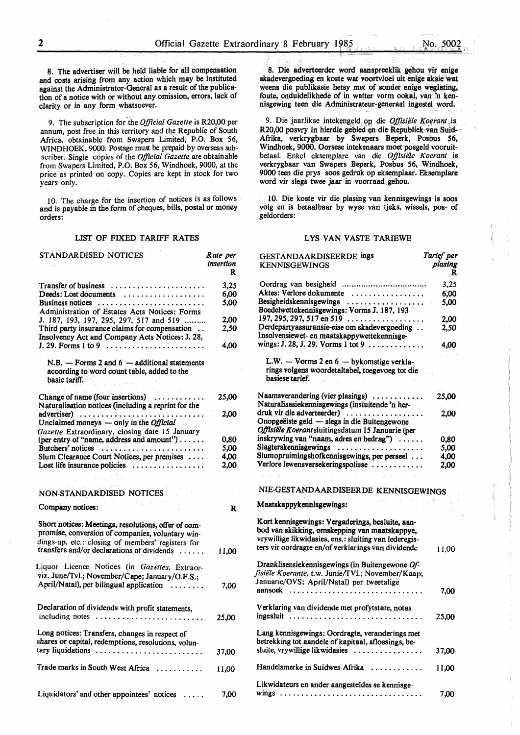8. The advertiser will be held liable for all compensation and costs arising from any action which may be instituted against the Administrator-General as a result of the publication of a notice with or without any omission, errors, lack of clarity or in any form whatsoever.

9. The subscription for.the *Official Gazette* is R20,00 per annum, post free in this territory and the Republic of South Africa, obtainable from Swapers Limited, P.O. Box 56, WINDHOEK, 9000. Postage must be prepaid by overseas subscriber. Single copies of the *Official Gazette* are obtainable from Swapers Limited, P.O. Box 56, Windhoek, 9000, at the price as printed on copy. Copies are kept in stock for two years only.

IO. The charge for the insertion of notices is as follows and is payable in the form of cheques, bills, postal or money orders:

#### LIST OF FIXED TARIFF RATES

| STANDARDISED NOTICES                                                                                                                                                                                       | Rate per<br>insertion<br>R |
|------------------------------------------------------------------------------------------------------------------------------------------------------------------------------------------------------------|----------------------------|
| Transfer of business                                                                                                                                                                                       | 3.25                       |
| Deeds: Lost documents                                                                                                                                                                                      | 6,00                       |
| Business notices                                                                                                                                                                                           | 5,00                       |
| Administration of Estates Acts Notices: Forms                                                                                                                                                              |                            |
| J. 187, 193, 197, 295, 297, 517 and 519                                                                                                                                                                    | 2.00                       |
| Third party insurance claims for compensation<br>Insolvency Act and Company Acts Notices: J. 28,                                                                                                           | 2,50                       |
|                                                                                                                                                                                                            | 4.00                       |
| $N.B.$ - Forms 2 and $6$ - additional statements<br>according to word count table, added to the<br>basic tariff.                                                                                           |                            |
| Change of name (four insertions) $\dots\dots\dots\dots$                                                                                                                                                    | 25,00                      |
| Naturalisation notices (including a reprint for the                                                                                                                                                        |                            |
| advertiser)                                                                                                                                                                                                | 2,00                       |
| Unclaimed moneys $-\text{only}$ in the <i>Official</i>                                                                                                                                                     |                            |
| Gazette Extraordinary, closing date 15 January<br>(per entry of "name, address and amount")                                                                                                                |                            |
|                                                                                                                                                                                                            | 0,80                       |
|                                                                                                                                                                                                            | 5.00                       |
| Slum Clearance Court Notices, per premises                                                                                                                                                                 | 4,00                       |
| Lost life insurance policies $\dots\dots\dots\dots\dots$<br>alagisk a før ver til eller eller a                                                                                                            | 2.00                       |
|                                                                                                                                                                                                            |                            |
| NON-STANDARDISED NOTICES                                                                                                                                                                                   |                            |
| Company notices:                                                                                                                                                                                           | R                          |
| Short notices: Meetings, resolutions, offer of com-<br>promise, conversion of companies, voluntary win-<br>dings-up, etc.: closing of members' registers for<br>transfers and/or declarations of dividends | 11,00                      |
| Liquor Licence Notices (in Gazettes, Extraor-                                                                                                                                                              |                            |
| viz. June/Tvl.; November/Cape; January/O.F.S.;                                                                                                                                                             |                            |
| April/Natal), per bilingual application                                                                                                                                                                    | 7,00                       |
|                                                                                                                                                                                                            |                            |
| Declaration of dividends with profit statements,<br>including notes                                                                                                                                        | 25,00                      |
|                                                                                                                                                                                                            |                            |
| Long notices: Transfers, changes in respect of<br>shares or capital, redemptions, resolutions, volun-                                                                                                      |                            |
| tary liquidations                                                                                                                                                                                          | 37,00                      |
|                                                                                                                                                                                                            |                            |
| Trade marks in South West Africa                                                                                                                                                                           | 11,00                      |
| Liquidators' and other appointees' notices                                                                                                                                                                 | 7,00                       |

8. Die adverteerder word aanspreeklik gehou vir enige skadevergoeding en koste wat voortvloei uit enige aksie wat weens die publikasie hetsy met of sonder enige weglating, foute, onduidelikhede of in watter vorm ookal, van 'n kennisgewing teen die Administrateur-generaal ingestel word.

9. Die jaarlikse intekengeld op die *Offisiële Koerant* is R20,00 posvry in hierdie gebied en die Republiek van Suid-Afrika, verkrygbaar by Swapers Beperk, Posbus 56, Windhoek, 9000. Oorsese intekenaars moet posgeld vooruitbetaal. Enkel eksemplare van die Offisiële Koerant is verkrygbaar van Swapers Beperk, Posbus 56, Windhoek, 9000 teen die prys soos gedruk op eksemplaar. Eksemplare word vir slegs twee jaar in voorraad gehou.

IO. Die koste vir die plasing van kennisgewings is soos volg en is betaalbaar by wyse van tjeks, wissels, pos- of geldorders:

#### LYS VAN VASTE TARIEWE

| GESTANDAARDISEERDE ings<br>KENNISGEWINGS                                                                                                                                                                         | Tarief per<br>plasing<br>R |
|------------------------------------------------------------------------------------------------------------------------------------------------------------------------------------------------------------------|----------------------------|
|                                                                                                                                                                                                                  | 3,25                       |
| Aktes: Verlore dokumente                                                                                                                                                                                         | 6,00                       |
| Besigheidskennisgewings<br><br>Boedelwettekennisgewings: Vorms J. 187, 193                                                                                                                                       | 5,00                       |
| $197, 295, 297, 517$ en 519                                                                                                                                                                                      | 2,00                       |
| Derdepartyassuransie-eise om skadevergoeding<br>Insolvensiewet- en maatskappywettekennisge-                                                                                                                      | 2,50                       |
| wings: J. 28, J. 29. Vorms 1 tot 9                                                                                                                                                                               | 4,00                       |
|                                                                                                                                                                                                                  |                            |
| L.W. - Vorms 2 en 6 - bykomstige verkla-                                                                                                                                                                         |                            |
| rings volgens woordetaltabel, toegevoeg tot die<br>basiese tarief.                                                                                                                                               |                            |
| Naamsverandering (vier plasings)<br>Naturalisasiekennisgewings (insluitende 'n her-                                                                                                                              | 25,00                      |
| druk vir die adverteerder)                                                                                                                                                                                       | 2.00                       |
| Onopgeëiste geld — slegs in die Buitengewone<br>Offisiële Koerantsluitingsdatum 15 Januarie (per                                                                                                                 |                            |
| inskrywing van "naam, adres en bedrag")                                                                                                                                                                          | 0,80                       |
| Slagterskennisgewings                                                                                                                                                                                            | 5.00                       |
| Slumopruimingshofkennisgewings, per perseel                                                                                                                                                                      | 4,00                       |
| Verlore lewensversekeringspolisse                                                                                                                                                                                | 2,00                       |
|                                                                                                                                                                                                                  |                            |
| NIE-GESTANDAARDISEERDE KENNISGEWINGS                                                                                                                                                                             |                            |
| and such any complete the<br>Maatskappykennisgewings:                                                                                                                                                            |                            |
| Kort kennisgewings: Vergaderings, besluite, aan-<br>bod van skikking, omskepping van maatskappye,<br>vrywillige likwidasies, ens.: sluiting van lederegis-<br>ters vir oordragte en/of verklarings van dividende | 11,00                      |
| Dranklisensiekennisgewings (in Buitengewone Of-                                                                                                                                                                  |                            |
| fisiële Koerante, t.w. Junie/TVI.; November/Kaap;                                                                                                                                                                |                            |
| Januarie/OVS; April/Natal) per tweetalige<br>aansoek                                                                                                                                                             | 7,00                       |
| Verklaring van dividende met profytstate, notas<br>ingesluit                                                                                                                                                     |                            |
|                                                                                                                                                                                                                  | 25,00                      |
| Lang kennisgewings: Oordragte, veranderings met<br>betrekking tot aandele of kapitaal, aflossings, be-                                                                                                           |                            |
| sluite, vrywillige likwidasies                                                                                                                                                                                   | 37,00                      |
| Handelsmerke in Suidwes-Afrika                                                                                                                                                                                   | 11,00                      |
| Likwidateurs en ander aangesteldes se kennisge-<br>wings                                                                                                                                                         | 7,00                       |
|                                                                                                                                                                                                                  |                            |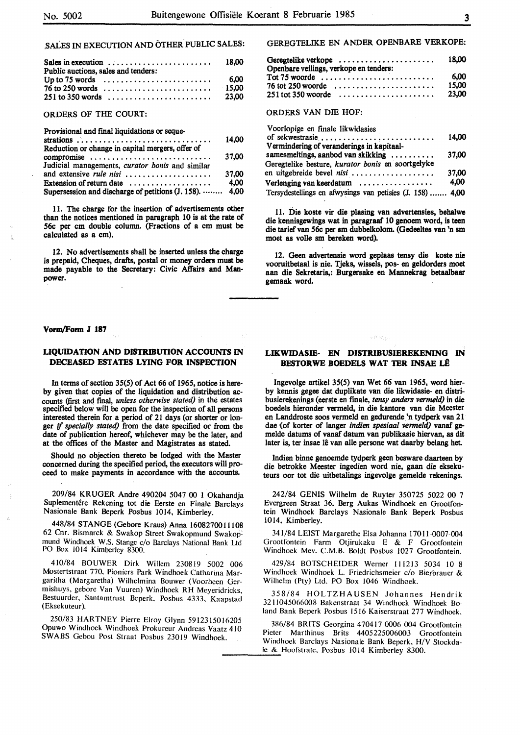# .SALES IN EXECUTION AND OTHER PUBLIC SALES:

| Sales in execution $\dots \dots \dots \dots \dots \dots \dots$<br>Public auctions, sales and tenders: | 18.00    |
|-------------------------------------------------------------------------------------------------------|----------|
| Up to 75 words $\dots\dots\dots\dots\dots\dots\dots\dots$                                             | 6.00     |
|                                                                                                       | $-15.00$ |
|                                                                                                       | 23.00    |

#### ORDERS OF THE COURT:

Provisional and final liquidations or seque-

|                                                           | 14.00 |
|-----------------------------------------------------------|-------|
| Reduction or change in capital mergers, offer of          |       |
| compromise                                                | 37.00 |
| Judicial managements, curator bonis and similar           |       |
| and extensive rule nisi                                   | 37.00 |
| Extension of return date $\dots\dots\dots\dots\dots\dots$ | 4.00  |
| Supersession and discharge of petitions (J. 158).  4,00   |       |

11. The charge for the insertion of advertisements other than the notices mentioned in paragraph 10 is at the rate of 56c per cm double column. (Fractions of a cm must be calculated as a cm).

12. No advertisements shall be inserted unless the charge is prepaid, Cheques, drafts, postal or money orders must be made payable to the Secretary: Civic Affairs and Manpower.

#### **Vorm/Form J 187**

## **LIQUIDATION AND DISTRIBUTION ACCOUNTS IN DECEASED ESTATES LYING FOR INSPECTION**

In terms of section 35(5) of Act 66 of 1965, notice is hereby given that copies of the liquidation and distribution accounts (first and final, *unless otherwise stated)* in the estates specified below will be open for the inspection of all persons interested therein for a period of 21 days (or shorter or longer if *specially stated)* from the date specified or from the date of publication hereof, whichever may be the later, and at the offices of the Master and Magistrates as stated.

Should no objection thereto be lodged with the Master concerned during the specified period, the executors will proceed to make payments in accordance with the accounts.

209/84 KRUGER Andre 490204 5047 00 I Okahandja Suplementêre Rekening tot die Eerste en Finale Barclays Nasionale Bank Beperk Posbus 1014, Kimberley.

448/84 STANGE (Gebore Kraus) Anna 1608270011108 62 Cnr. Bismarck & Swakop Street Swakopmund Swakop: mund Windhoek **W.S.** Stange c/o Barclays N'ational Bank Ltd PO Box 1014 Kimberley 8300.

410/84 BOUWER Dirk Willem 230819 5002 006 Mostertstraat 770. Pioniers Park Windhoek Catharina Margaritha (Margaretha) Wilhelmina Bouwer (Voorheen Germishuys, gebore Van Vuuren) Windhoek RH Meyeridricks, Bestuurder. Santamtrust Beperk, Posbus 4333, Kaapstad (Eksekuteur).

250/83 HARTNEY Pierre Elroy Glynn 5912315016205 Opuwo Windhoek Windhoek Prokureur Andreas Vaatz 410 **SWABS** Gebou Post Straat Posbus 23019 Windhoek.

## GEREGTELIKE EN ANDER OPENBARE VERKOPE:

| Geregtelike verkope<br>Openbare veilings, verkope en tenders: | 18.00         |
|---------------------------------------------------------------|---------------|
|                                                               | 6.00<br>15.00 |
| $251$ tot 350 woorde                                          | 23.00         |

#### ORDERS VAN DIE HOF:

| Voorlopige en finale likwidasies                              |       |
|---------------------------------------------------------------|-------|
|                                                               | 14.00 |
| Vermindering of veranderings in kapitaal-                     |       |
| samesmeltings, aanbod van skikking                            | 37.00 |
| Geregtelike besture, kurator bonis en soortgelyke             |       |
| en uitgebreide bevel nisi                                     | 37,00 |
| Verlenging van keerdatum $\ldots \ldots \ldots \ldots \ldots$ | 4.00  |
| Tersydestellings en afwysings van petisies (J. 158)  4,00     |       |

11. Die koste vir die plasing van advertensies, behalwe die kennisgewings wat in paragraaf 10 genoem word, is teen die tarief van 56c per sm dubbelkolom. (Gedeeltes van 'n sm moet as volle sm bereken word).

12. Geen advertensie word geplaas tensy die koste nie vooruitbetaal is nie. Tjeks, wissels, pos- en geldorders moet aan die Sekretaris,: Burgersake en Mannekrag betaalbaar **gemaak** word.

#### **LIKWIDASIE- EN DISTRIBUSIEREKENING** IN **BESTORWE BOEDELS WAT TER INSAE** Lfl

a Pilito

Ingevolge artikel 3S(5) van Wet 66 van 1965, word bierby kennis **gegee** dat duplikate van die likwidasie- en distribusierekenings (eerste en fmale, *tensy anders vermeld)* in die boedels hieronder vermeld, in die kantore van die Meester en Landdroste soos vermeld en gedurende 'n tydperk van 21 dae {of korter of langer *indien spesiaal vermeld)* vanaf gemelde datums of vanaf datum van publikasie hiervan, as dit later is, ter insae lê van alle persone wat daarby belang het.

lndien binne genoemde tydperk geen besware daarteen by die betrokke Meester ingedien word nie, gaan die eksekuteurs oor tot die uitbetalings ingevolge gemelde rekenings.

242/84 GENIS Wilhelm de Ruyter 350725 5022 00 7 Evergreen Straat 36. Berg Aukas Windhoek en Grootfontein Windhoek Barclays Nasionale Bank Beperk Posbus 1014, Kimberley.

341/84 LEIST Margarethe Elsa Johanna 17011-0007-004 Grootfontein Farm Otjirukaku E & F Grootfontein Windhoek Mev. C.M.B. Boldt Posbus 1027 Grootfontein.

429/84 BOTSCHEIDER Werner 111213 5034 10 8 Windhoek Windhoek L. Friedrichsmeier c/o Bierbrauer & Wilhelm (Pty) Ltd. PO Box 1046 Windhoek.

358/84 HOLTZHAUSEN Johannes Hendrik 3211045066008 Bakenstraat 34 Windhoek Windhoek Boland Bank Beperk Posbus 1516 Kaiserstraat 277 Windhoek.

386/84 **BRITS** Georgina 470417 **0006 004** Grootfontein Pieter Marthinus Brits 4405225006003 Grootfontein Windhoek Barclays Nasionale Bank Beperk, H/V Stockdale & Hoofstrate. Posbus 1014 Kimberley 8300.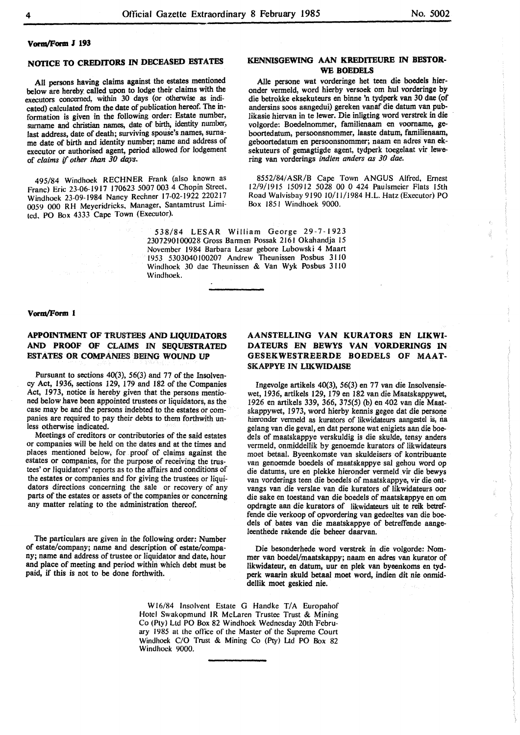4

#### **VonQ/Form J 193**

# **NOTICE TO CREDITORS** IN **DECEASED ESTATES**

All persons having claims against the estates mentioned below are hereby called upon to lodge their claims with the executors concerned, within 30 days (or otherwise as indicated) calculated from the date of publication hereof. The information is given in the following order: Estate number, surname and christian names, date of birth. identity number, last address, date of death; surviving spouse's names, surname date of birth and identity number; name and address of executor or authorised agent, period allowed for lodgement of *claims* if *other than 30 days.* 

495/84 Windhoek RECHNER Frank (also known as Franc) Eric 23-06-1917 170623 5007 003 4 Chopin Street, Windhoek 23-09-1984 Nancy Rechner 17-02-1922 220217 0059 000 RH Meyeridricks, Manager, Santamtrust Limited, PO Box 4333 Cape Town (Executor).

## **KENNISGEWING AAN KREDITEURE IN BESTOR-WE BOEDELS**

Aile persone wat vorderinge het teen die boedels hieronder vermeld, word hierby versoek om hul vorderinge by die betrokke eksekuteurs en binne 'n tydperk van 30 dae (of andersins soos aangedui) gereken vanaf die datum van publikasie hiervan in te lewer. Die inligting word verstrek in die volgorde: Boedelnommer, familienaam en voorname, geboortedatum, persoonsnommer, laaste datum, familienaam, geboortedatum en persoonsnommer; naam en adres van eksekuteurs of gemagtigde agent, tydperk toegelaat vir lewering van vorderings *indien anders as 30 dae.* 

8552/84/ ASR/8 Cape Town ANGUS Alfred, Ernest 12/9/1915 150912 5028 00 0 424 Paulsmeier Flats 15th Road Walvisbay 9190 l0/l 1/1984 H.L. Hatz (Executor) PO Box 1851 Windhoek 9000.

538/84 LESAR William George 29-7-1923 2307290100028 Gross Barmen Possak 2161 Okahandja 15 November 1984 Barbara Lesar gebore Lubowski 4 Maart 1953 5303040100207 Andrew Theunissen Posbus 31 IO Windhoek 30 dae Theunissen & Van Wyk Posbus 3 110 Windhoek.

#### **Vorm/Form 1**

# **APPOINTMENT OF** TRUSTEES **AND LIQUIDATORS AND PROOF OF** CLAIMS **IN SEQUESTRATED ESTATES OR COMPANIES** BEING WOUND UP

Pursuant to sections 40(3), 56(3) and 77 of the Insolvency Act, 1936, sections 129, 179 and 182 of the Companies Act, 1973, notice is hereby given that the persons mentioned below have been appointed trustees or liquidators, as the case may be and the persons indebted to the estates or companies are required to pay their debts to them forthwith unless otherwise indicated.

Meetings of creditors or contributories of the said estates or companies will be held on the dates and at the times and places mentioned below, for proof of claims against the estates or companies, for the purpose of receiving the trustees' or liquidators' reports as to the affairs and conditions of the estates or companies and for giving the trustees or liquidators directions concerning the sale or recovery of any parts of the estates or assets of the companies or concerning any matter relating to the administration thereof.

The particulars are given in the following order: Number of estate/company; name and description of estate/company; name and address of trustee or liquidator and date, hour and place of meeting and period within which debt must be paid, if this is not to be done forthwith.

## **AANSTELLING VAN KURATORS EN LIKWI-DATEURS EN BEWYS VAN VORDERINGS** IN **GESEKWESTREERDE BOEDELS OF MAAT-SKAPPYE IN LIKWIDAISE**

Ingevolge artikels 40(3), 56(3) en 77 van die Insolvensiewet, 1936, artikels 129, 179 en 182 van die Maatskappywet, 1-926 en artikels 339, 366, 375(5) (b) en 402 van die Maatskappywet, 1973, word hierby kennis gegee dat die persone hieronder vermeld as kurators of likwidateurs aangestel is, na gelang van die geval, en dat persone wat enigiets aan die hoedels of maatskappye verskuldig is die skulde, tensy anders vermeld, onmiddellik by genoemde kurators of likwidateurs moet betaal. Byeenkomste van skuldeisers of kontribuante van genoemde boedels of maatskappye sal gehou word op die datums, ure en plekke hieronder vermeld vir die bewys van vorderings teen die boedels of maatskappye, vir die ontvangs van die verslae van die kurators of Iikwidateurs oor die sake en toestand van die boedels of maatskappye en om opdragte aan die kurators of likwidateurs uit te reik betreffende die verkoop of opvordering van gedeeltes van die boedels of bates van die maatskappye of betreffende aangeleenthede rakende die beheer daarvan.

Die besonderhede word verstrek in die volgorde: Nommer van boedel/maatskappy; naam en adres van kurator of likwidateur, en datum, uur en plek van byeenkoms en tydperk waarin skuld betaal moet word, indien dit nie onmiddellik moet geskied nie.

W16/84 Insolvent Estate G Handke T/A Europahof Hotel Swakopmund IR McLaren Trustee Trust & Mining Co (Pty) Ltd PO Box 82 Windhoek Wednesday 20th February 1985 at the otlice of the Master of the Supreme Court Windhoek C/O Trust & Mining Co (Pty) Ltd PO Box 82 Windhoek 9000.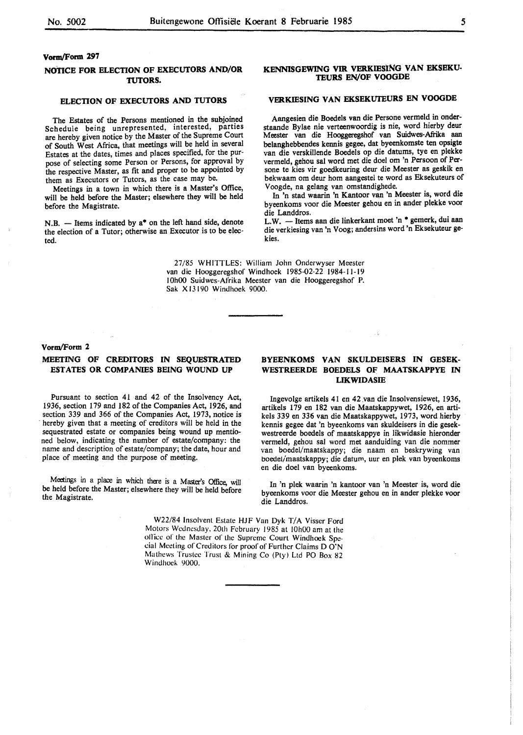## **vonn/Form 297**

#### **NOTICE FOR ELECTION OF EXECUTORS AND/OR TUTORS.**

## **ELECTION OF EXECUTORS AND TUTORS**

The Estates of the Persons mentioned in the subjoined Schedule being unrepresented, interested, parties are hereby given notice by the Master of the Supreme Court of South West Africa, that meetings will be held in several Estates at the dates, times and places specified, for the purpose of selecting some Person or Persons, for approval by the respective Master, as fit and proper to be appointed by them as Executors or Tutors, as the case may be.

Meetings in a town in which there is a Master's Office, will be held before the Master; elsewhere they will be held before the Magistrate.

N.B. - Items indicated by a\* on the left hand side, denote the election of a Tutor; otherwise an Executor is to be elected.

#### KENNISGEWING VIR VERKIESING VAN EKSEKU-**TEURS EN/OF VOOGDE**

# **VERKIESING VAN EKSEKUTEURS EN VOOGDE**

Aangesien die Boedels van die Persone vermeld in onderstaande Bylae nie verteenwoordig is nie, word hierby deur Meester van die Hooggeregshof van Suidwes-Afrika aan belanghebbendes kennis gegee, dat byeenkomste ten opsigte van die verskillende Boedels op die datums, tye en plekke vermeld, gehou sal word met die doel om 'n Persoon of Persone te kies vir goedkeuring deur die Meester as geskik en bekwaam om deur horn aangestel te word as Eksekuteurs of V oogde, na gelang van omstandighede.

In 'n stad waarin 'n Kantoor van 'n Meester is, word die byeenkoms voor die Meester gehou en in ander plekke voor die Landdros.

L.W. - Items aan die linkerkant moet 'n \* gemerk, dui aan die verkiesing van 'n Voog; andersins word 'n Eksekuteur gekies.

27/85 WHllTLES: William John Onderwyser Meester van die Hooggeregshof Windhoek 1985-02-22 1984-11-19 IOhOO Suidwes-Afrika Meester van die Hooggeregshof P. Sak Xl3190 Windhoek 9000.

#### **Voran/Form 2**

## **MEETING OF CREDITORS IN SEQUESTRATED ESTATES OR COMPANIES BEING WOUND UP**

Pursuant to section 41 and 42 of the Insolvency Act, 1936, section 179 and 182 of the Companies Act, 1926, and section 339 and 366 of the Companies Act, 1973, notice is hereby given that a meeting of creditors will be held in the sequestrated estate or companies being wound up mentioned below, indicating the number of estate/company: the name and description of estate/company; the date, hour and place of meeting and the purpose of meeting.

Meetings in a place in which there is a Master's Office, will be held before the Master; elsewhere they will be held before the Magistrate.

## **BYEENKOMS VAN SKULDEISERS IN GESEK-WESTREERDE BOEDELS OF MAATSKAPPYE IN LIKWIDASIE**

Ingevolge artikels 41 en 42.van die Insolvensiewet, 1936, artikels 179 en 182 van die Maatskappywet, 1926, en artikels 339 en 336 van die Maatskappywet, 1973, word hierby kennis gegee dat 'n byeenkoms van skuldeisers in die gesekwestreerde boedels of maatskappye in likwidasie hieronder vermeld, gehou sal word met aanduiding van die nommer van boedel/maatskappy; die naam en beskrywing van boedel/maatskappy; die datum, uur en plek van byeenkoms en die doe! van byeenkoms.

In 'n plek waarin 'n kantoor van 'n Meester is, word die byeenkoms voor die Meester gehou en in ander plekke voor die Landdros.

W22/84 Insolvent Estate HJF Van Dyk *TIA* Visser Ford Motors Wednesday. 20th February 1985 at 10h00 am at the office of the Master of the Supreme Court Windhoek Special Meeting of Creditors for proof of Further Claims D O'N Mathews Trustee Trust & Mining Co (Ply) Ltd PO Box 82 Windhoek 9000.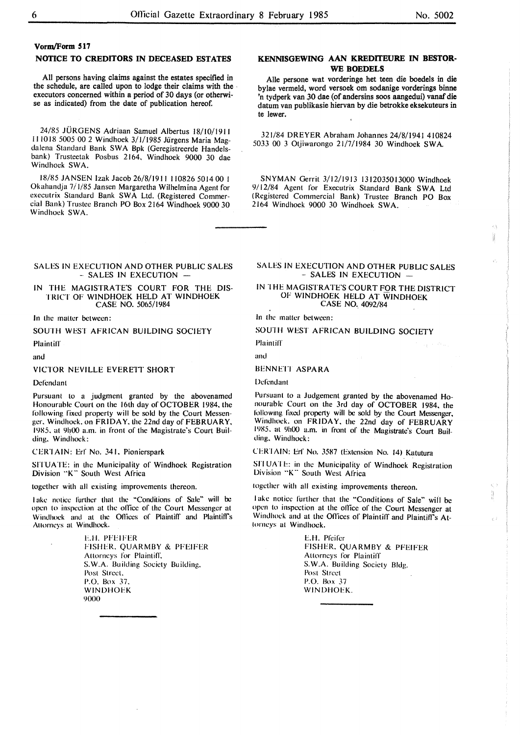$\langle \cdot \rangle$ ł

#### **Vorm/Form 517**

## **NOTICE TO CREDITORS IN DECEASED ESTATES**

All persons having claims against the estates specified in the schedule, are called upon to lodge their claims with the , executors concerned within a period of 30 days (or otherwise as indicated) from the date of publication hereof.

24/85 JURGENS Adriaan Samuel Albertus 18/10/191 l 111018 5005 00 2 Windhoek 3/1/1985 Jurgens Maria Magdalena Standard Bank SWA Bpk (Geregistreerde Handelsbank) Trusteetak Posbus 2164. Windhoek 9000 30 dae Windhoek SWA.

18/85 JANSEN Izak Jacob 26/8/1911 I 10826 5014 00 l Okahandja 7/ 1/85 Jansen Margaretha Wilhelmina Agent for executrix Standard Bank SWA Ltd. (Registered Commercial Bank) Trustee Branch PO Box 2164 Windhoek 9000 30 Windhoek SWA.

## **KENNISGEWING AAN KREDITEURE IN BESTOR-WE BOEDELS**

Alle persone wat vorderinge het teen die boedels in die bylae vermeld, word versoek om sodanige vorderings binne 'n tydperk van JO dae (of andersins soos aangedui) vanaf die datum van publikasie hiervan by die betrokke eksekuteurs in te !ewer.

321/84 DREYER Abraham Johannes 24/8/1941 410824 5033 00 3 Otjiwarongo 21/7/1984 30 Windhoek SWA

SNYMAN Gerrit 3/12/1913 1312035013000 Windhoek 9/12/84 Agent for Executrix Standard Bank SWA Ltd (Registered Commercial Bank) Trustee Branch PO Box 2164 Windhoek 9000 30 Windhoek SWA.

#### SALES IN EXECUTION AND OTHER PUBLIC SALES - SALES IN EXECUTION -

IN THE MAGISTRATE'S COURT FOR THE DIS-TRICT OF WINDHOEK HELD AT WINDHOEK CASE NO. 5065/1984

In the maller between:

SOUTH WEST AFRICAN BUILDING SOCIETY

**Plaintiff** 

and

VICTOR NEVILLE EVERETT SHORT

Dcfondanl

Pursuant lo a judgment granted by the abovenamed Honourable Court on the 16th day of OCTOBER 1984. the following fixed property will be sold by the Court Messenger. Windhoek. on FRIDAY. the 22nd day of FEBRUARY. 1985. al 9h00 a.m. in front of the Magistrate's Court Building. Windhoek:

CERTAIN: Erf No. 341. Pionierspark

SITUATE: in the Municipality of Windhoek Registration Division "K" South West Africa

together with all existing improvements thereon.

Take notice further that the "Conditions of Sale" will be open lo inspection at lhe ollice of the Court Messenger at Windhock and at the Offices of Plaintiff and Plaintiff's Attorneys at Windhoek.

> E.H. PFEIFER FISHER. **QUARMBY** & PFEIFER Allorneys for Plaintifl: **S.W.A.** Building Society Building. Post Street. P.O. Box 37. **WINDHOEK**  9000

## SALES IN EXECUTION AND OTHER PUBLIC SALES - SALES IN EXECUTION -

IN THE MAGISTRATE'S COURT FOR THE DISTRICT OF WINDHOEK HELD AT WINDHOEK CASE NO. 4092/84

In the matter bet ween:

SOUTH WEST AFRICAN BUILDING SOCIETY

Plaintiff

and

# BENNETI ASPARA

Defendant

Pursuant to a Judgement granted by the abovenamed Honourable Court on the 3rd day of OCTOBER 1984, the following fixed property will be sold by the Court Messenger, Windhoek. on FRIDAY. the 22nd day of FEBRUARY 1985. al 9h00 a.m. in front of the Magistrate's Court Building. Windhoek:

CERI t\lN: Erf No. 3587 (Extension No. 14) Katutura

SITUATE: in the Municipality of Windhoek Registration Division "K" South West Africa

together with all existing improvements thereon.

lake notice further that the "Conditions of Sale" will be open to inspection al the oflice of the Court Messenger at Windhoek and at the Offices of Plaintiff and Plaintiffs Attorneys al Windhoek.

> **E.H.** Pfeifer FISHER. **QUARMBY** & PFEIFER Allorneys for Plaintiff S.W.A. Building Society Bldg. Post Street P.O. Box 37 WINDHOEK.